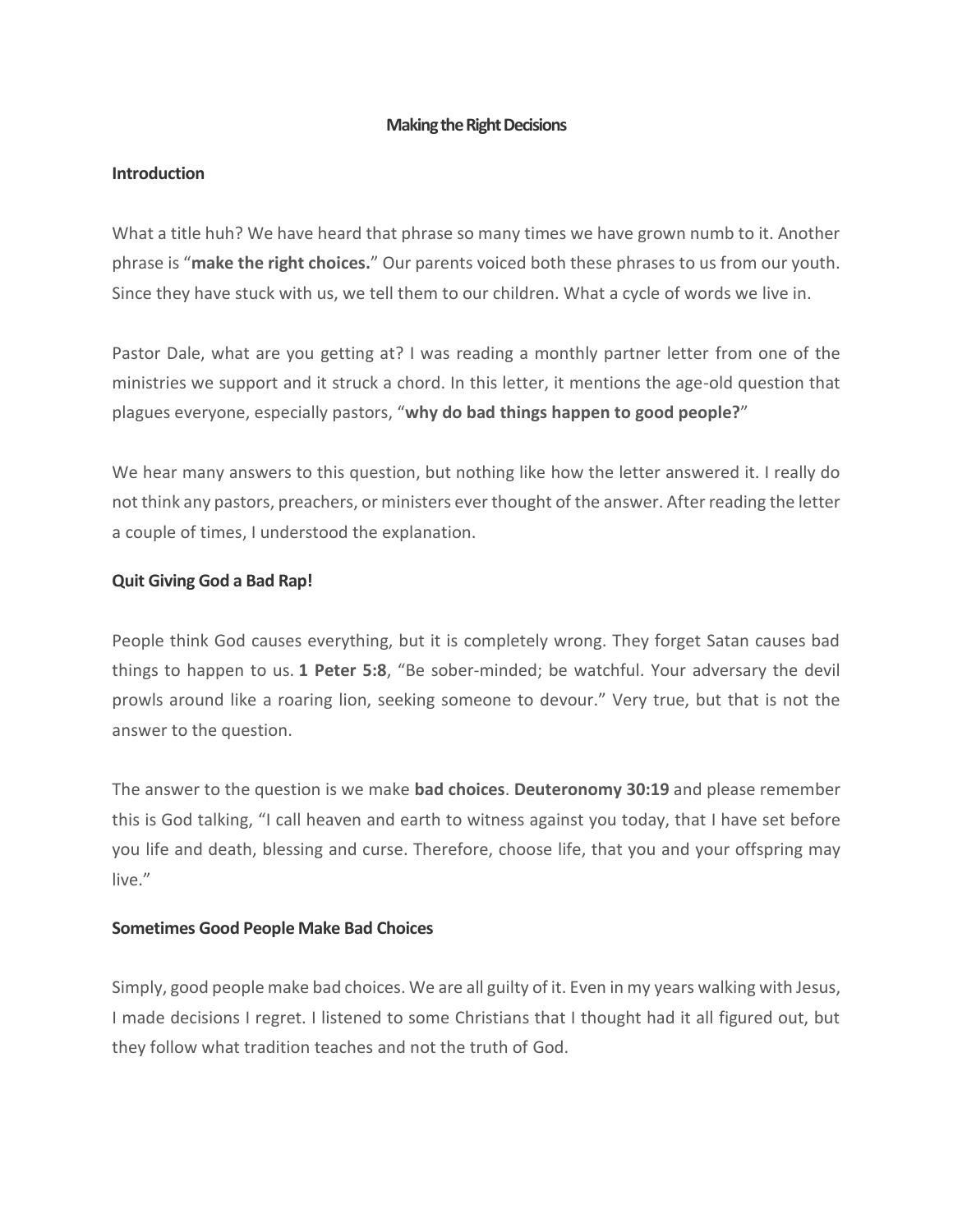#### **Making the Right Decisions**

#### **Introduction**

What a title huh? We have heard that phrase so many times we have grown numb to it. Another phrase is "**make the right choices.**" Our parents voiced both these phrases to us from our youth. Since they have stuck with us, we tell them to our children. What a cycle of words we live in.

Pastor Dale, what are you getting at? I was reading a monthly partner letter from one of the ministries we support and it struck a chord. In this letter, it mentions the age-old question that plagues everyone, especially pastors, "**why do bad things happen to good people?**"

We hear many answers to this question, but nothing like how the letter answered it. I really do not think any pastors, preachers, or ministers ever thought of the answer. After reading the letter a couple of times, I understood the explanation.

## **Quit Giving God a Bad Rap!**

People think God causes everything, but it is completely wrong. They forget Satan causes bad things to happen to us. **1 Peter 5:8**, "Be sober-minded; be watchful. Your adversary the devil prowls around like a roaring lion, seeking someone to devour." Very true, but that is not the answer to the question.

The answer to the question is we make **bad choices**. **Deuteronomy 30:19** and please remember this is God talking, "I call heaven and earth to witness against you today, that I have set before you life and death, blessing and curse. Therefore, choose life, that you and your offspring may live."

#### **Sometimes Good People Make Bad Choices**

Simply, good people make bad choices. We are all guilty of it. Even in my years walking with Jesus, I made decisions I regret. I listened to some Christians that I thought had it all figured out, but they follow what tradition teaches and not the truth of God.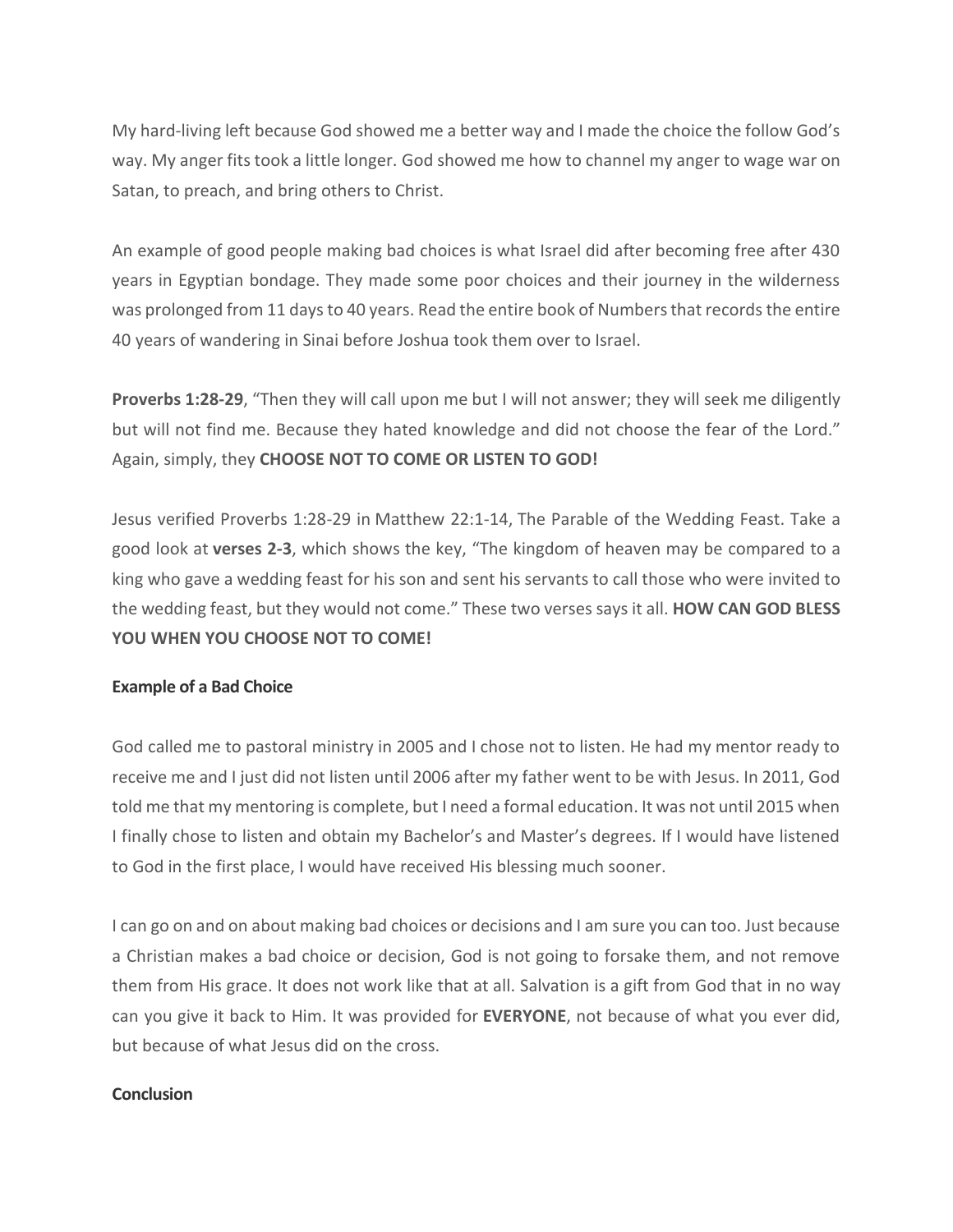My hard-living left because God showed me a better way and I made the choice the follow God's way. My anger fits took a little longer. God showed me how to channel my anger to wage war on Satan, to preach, and bring others to Christ.

An example of good people making bad choices is what Israel did after becoming free after 430 years in Egyptian bondage. They made some poor choices and their journey in the wilderness was prolonged from 11 days to 40 years. Read the entire book of Numbers that records the entire 40 years of wandering in Sinai before Joshua took them over to Israel.

**Proverbs 1:28-29**, "Then they will call upon me but I will not answer; they will seek me diligently but will not find me. Because they hated knowledge and did not choose the fear of the Lord." Again, simply, they **CHOOSE NOT TO COME OR LISTEN TO GOD!**

Jesus verified Proverbs 1:28-29 in Matthew 22:1-14, The Parable of the Wedding Feast. Take a good look at **verses 2-3**, which shows the key, "The kingdom of heaven may be compared to a king who gave a wedding feast for his son and sent his servants to call those who were invited to the wedding feast, but they would not come." These two verses says it all. **HOW CAN GOD BLESS YOU WHEN YOU CHOOSE NOT TO COME!**

## **Example of a Bad Choice**

God called me to pastoral ministry in 2005 and I chose not to listen. He had my mentor ready to receive me and I just did not listen until 2006 after my father went to be with Jesus. In 2011, God told me that my mentoring is complete, but I need a formal education. It was not until 2015 when I finally chose to listen and obtain my Bachelor's and Master's degrees. If I would have listened to God in the first place, I would have received His blessing much sooner.

I can go on and on about making bad choices or decisions and I am sure you can too. Just because a Christian makes a bad choice or decision, God is not going to forsake them, and not remove them from His grace. It does not work like that at all. Salvation is a gift from God that in no way can you give it back to Him. It was provided for **EVERYONE**, not because of what you ever did, but because of what Jesus did on the cross.

## **Conclusion**